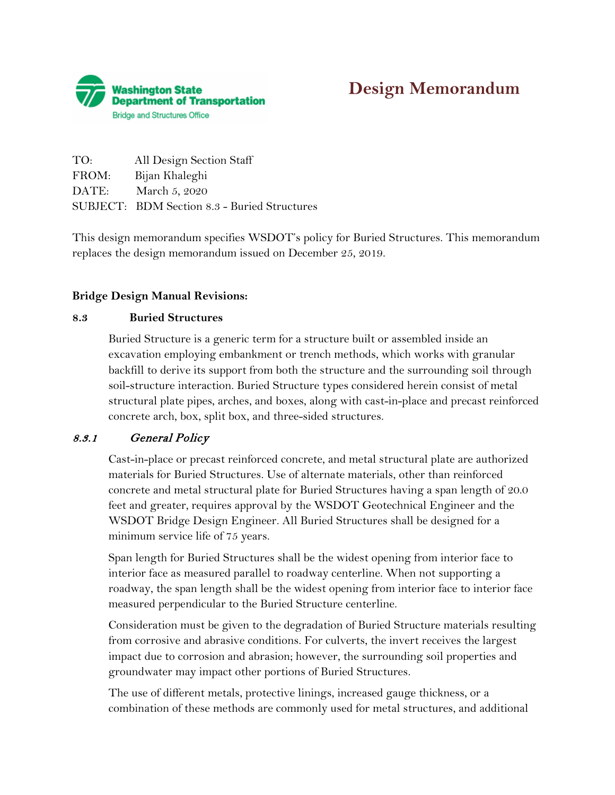

# **Design Memorandum**

| TO:   | All Design Section Staff                            |
|-------|-----------------------------------------------------|
| FROM: | Bijan Khaleghi                                      |
| DATE: | March 5, 2020                                       |
|       | <b>SUBJECT: BDM Section 8.3 - Buried Structures</b> |

This design memorandum specifies WSDOT's policy for Buried Structures. This memorandum replaces the design memorandum issued on December 25, 2019.

#### **Bridge Design Manual Revisions:**

#### **8.3 Buried Structures**

Buried Structure is a generic term for a structure built or assembled inside an excavation employing embankment or trench methods, which works with granular backfill to derive its support from both the structure and the surrounding soil through soil-structure interaction. Buried Structure types considered herein consist of metal structural plate pipes, arches, and boxes, along with cast-in-place and precast reinforced concrete arch, box, split box, and three-sided structures.

## 8.3.1 General Policy

Cast-in-place or precast reinforced concrete, and metal structural plate are authorized materials for Buried Structures. Use of alternate materials, other than reinforced concrete and metal structural plate for Buried Structures having a span length of 20.0 feet and greater, requires approval by the WSDOT Geotechnical Engineer and the WSDOT Bridge Design Engineer. All Buried Structures shall be designed for a minimum service life of 75 years.

Span length for Buried Structures shall be the widest opening from interior face to interior face as measured parallel to roadway centerline. When not supporting a roadway, the span length shall be the widest opening from interior face to interior face measured perpendicular to the Buried Structure centerline.

Consideration must be given to the degradation of Buried Structure materials resulting from corrosive and abrasive conditions. For culverts, the invert receives the largest impact due to corrosion and abrasion; however, the surrounding soil properties and groundwater may impact other portions of Buried Structures.

The use of different metals, protective linings, increased gauge thickness, or a combination of these methods are commonly used for metal structures, and additional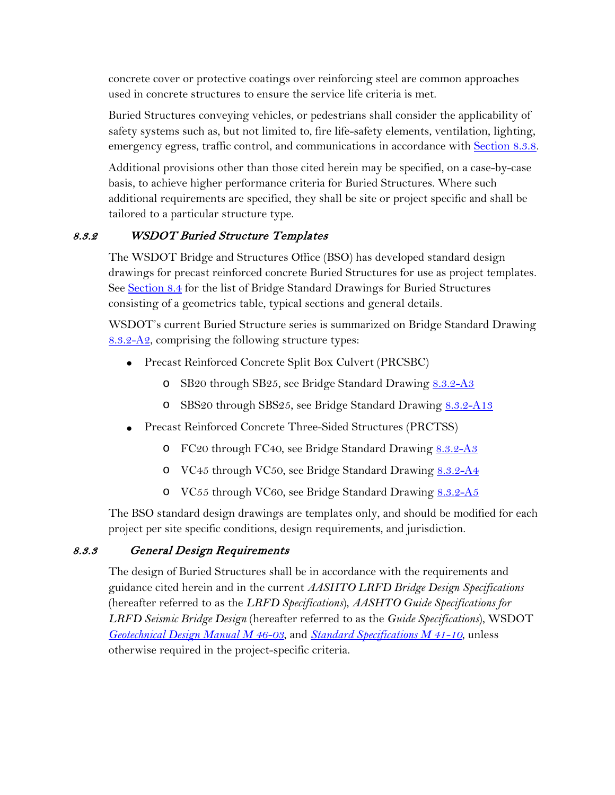concrete cover or protective coatings over reinforcing steel are common approaches used in concrete structures to ensure the service life criteria is met.

Buried Structures conveying vehicles, or pedestrians shall consider the applicability of safety systems such as, but not limited to, fire life-safety elements, ventilation, lighting, emergency egress, traffic control, and communications in accordance with Section 8.3.8.

Additional provisions other than those cited herein may be specified, on a case-by-case basis, to achieve higher performance criteria for Buried Structures. Where such additional requirements are specified, they shall be site or project specific and shall be tailored to a particular structure type.

# 8.3.2 WSDOT Buried Structure Templates

The WSDOT Bridge and Structures Office (BSO) has developed standard design drawings for precast reinforced concrete Buried Structures for use as project templates. See Section 8.4 for the list of Bridge Standard Drawings for Buried Structures consisting of a geometrics table, typical sections and general details.

WSDOT's current Buried Structure series is summarized on Bridge Standard Drawing  $8.3.2 - A2$ , comprising the following structure types:

- Precast Reinforced Concrete Split Box Culvert (PRCSBC)
	- o SB20 through SB25, see Bridge Standard Drawing [8.3.2-A3](https://www.wsdot.wa.gov/Bridge/Structures/StandardDrawings.htm#BuriedStructures)
	- o SBS20 through SBS25, see Bridge Standard Drawing [8.3.2-A13](https://www.wsdot.wa.gov/Bridge/Structures/StandardDrawings.htm#BuriedStructures)
- Precast Reinforced Concrete Three-Sided Structures (PRCTSS)
	- o FC20 through FC40, see Bridge Standard Drawing [8.3.2-A3](https://www.wsdot.wa.gov/Bridge/Structures/StandardDrawings.htm#BuriedStructures)
	- o VC45 through VC50, see Bridge Standard Drawing [8.3.2-A4](https://www.wsdot.wa.gov/Bridge/Structures/StandardDrawings.htm#BuriedStructures)
	- o VC55 through VC60, see Bridge Standard Drawing [8.3.2-A5](https://www.wsdot.wa.gov/Bridge/Structures/StandardDrawings.htm#BuriedStructures)

The BSO standard design drawings are templates only, and should be modified for each project per site specific conditions, design requirements, and jurisdiction.

# 8.3.3 General Design Requirements

The design of Buried Structures shall be in accordance with the requirements and guidance cited herein and in the current *AASHTO LRFD Bridge Design Specifications* (hereafter referred to as the *LRFD Specifications*), *AASHTO Guide Specifications for LRFD Seismic Bridge Design* (hereafter referred to as the *Guide Specifications*), WSDOT *[Geotechnical Design Manual M 46-03](http://www.wsdot.wa.gov/Publications/Manuals/M46-03.htm)*, and *[Standard Specifications M 41-10](https://www.wsdot.wa.gov/Publications/Manuals/M41-10.htm)*, unless otherwise required in the project-specific criteria.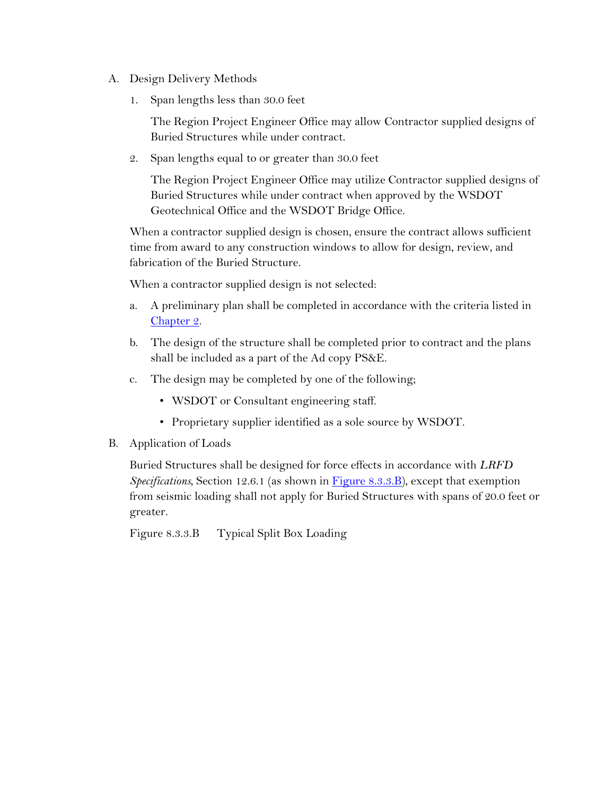- A. Design Delivery Methods
	- 1. Span lengths less than 30.0 feet

The Region Project Engineer Office may allow Contractor supplied designs of Buried Structures while under contract.

2. Span lengths equal to or greater than 30.0 feet

The Region Project Engineer Office may utilize Contractor supplied designs of Buried Structures while under contract when approved by the WSDOT Geotechnical Office and the WSDOT Bridge Office.

When a contractor supplied design is chosen, ensure the contract allows sufficient time from award to any construction windows to allow for design, review, and fabrication of the Buried Structure.

When a contractor supplied design is not selected:

- a. A preliminary plan shall be completed in accordance with the criteria listed in Chapter 2.
- b. The design of the structure shall be completed prior to contract and the plans shall be included as a part of the Ad copy PS&E.
- c. The design may be completed by one of the following;
	- WSDOT or Consultant engineering staff.
	- Proprietary supplier identified as a sole source by WSDOT.

#### B. Application of Loads

Buried Structures shall be designed for force effects in accordance with *LRFD Specifications*, Section 12.6.1 (as shown in Figure 8.3.3.B), except that exemption from seismic loading shall not apply for Buried Structures with spans of 20.0 feet or greater.

Figure 8.3.3.B Typical Split Box Loading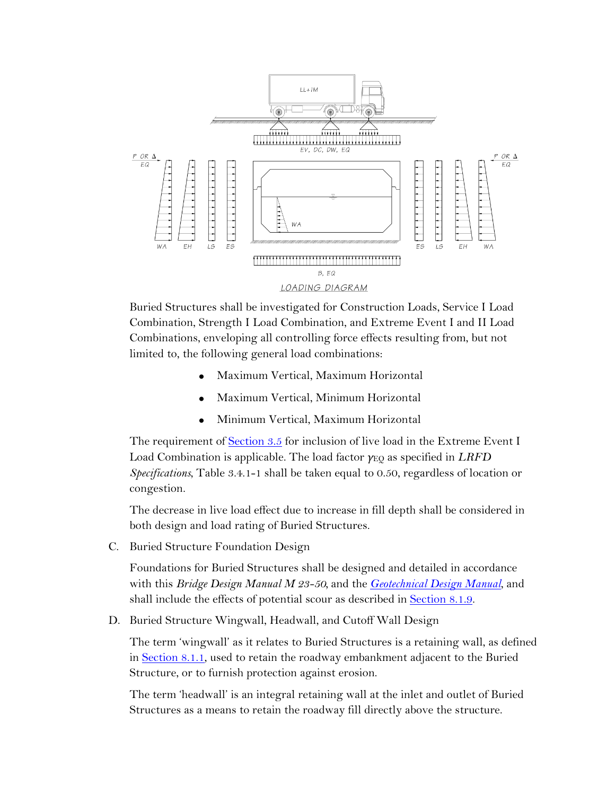

Buried Structures shall be investigated for Construction Loads, Service I Load Combination, Strength I Load Combination, and Extreme Event I and II Load Combinations, enveloping all controlling force effects resulting from, but not limited to, the following general load combinations:

- Maximum Vertical, Maximum Horizontal
- Maximum Vertical, Minimum Horizontal
- Minimum Vertical, Maximum Horizontal

The requirement of Section 3.5 for inclusion of live load in the Extreme Event I Load Combination is applicable. The load factor *γ*<sub>EO</sub> as specified in *LRFD Specifications*, Table 3.4.1-1 shall be taken equal to 0.50, regardless of location or congestion.

The decrease in live load effect due to increase in fill depth shall be considered in both design and load rating of Buried Structures.

C. Buried Structure Foundation Design

Foundations for Buried Structures shall be designed and detailed in accordance with this *Bridge Design Manual M 23-50,* and the *[Geotechnical Design Manual](http://www.wsdot.wa.gov/Publications/Manuals/M46-03.htm)*, and shall include the effects of potential scour as described in Section 8.1.9.

D. Buried Structure Wingwall, Headwall, and Cutoff Wall Design

The term 'wingwall' as it relates to Buried Structures is a retaining wall, as defined in Section 8.1.1, used to retain the roadway embankment adjacent to the Buried Structure, or to furnish protection against erosion.

The term 'headwall' is an integral retaining wall at the inlet and outlet of Buried Structures as a means to retain the roadway fill directly above the structure.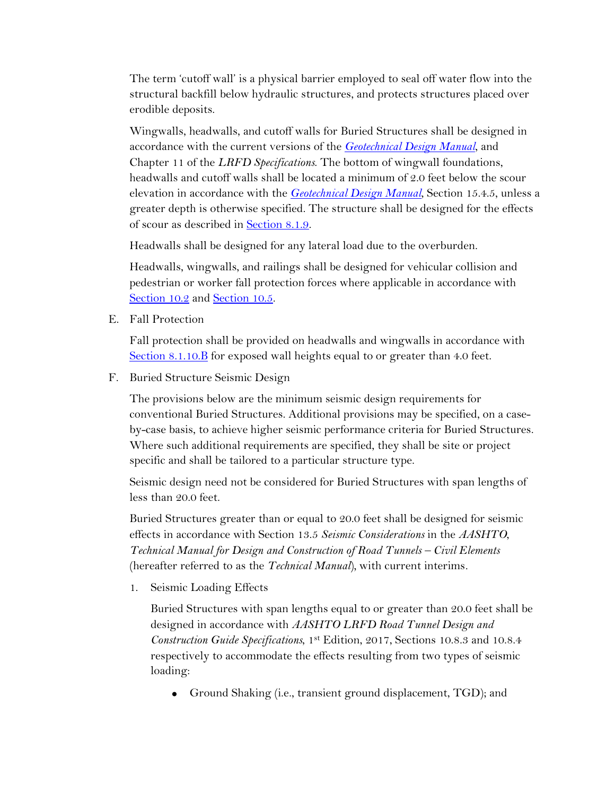The term 'cutoff wall' is a physical barrier employed to seal off water flow into the structural backfill below hydraulic structures, and protects structures placed over erodible deposits.

Wingwalls, headwalls, and cutoff walls for Buried Structures shall be designed in accordance with the current versions of the *[Geotechnical Design Manual](http://www.wsdot.wa.gov/Publications/Manuals/M46-03.htm)*, and Chapter 11 of the *LRFD Specifications*. The bottom of wingwall foundations, headwalls and cutoff walls shall be located a minimum of 2.0 feet below the scour elevation in accordance with the *[Geotechnical Design Manual](http://www.wsdot.wa.gov/Publications/Manuals/M46-03.htm)*, Section 15.4.5, unless a greater depth is otherwise specified. The structure shall be designed for the effects of scour as described in Section 8.1.9.

Headwalls shall be designed for any lateral load due to the overburden.

Headwalls, wingwalls, and railings shall be designed for vehicular collision and pedestrian or worker fall protection forces where applicable in accordance with Section 10.2 and Section 10.5.

E. Fall Protection

Fall protection shall be provided on headwalls and wingwalls in accordance with Section 8.1.10.B for exposed wall heights equal to or greater than 4.0 feet.

F. Buried Structure Seismic Design

The provisions below are the minimum seismic design requirements for conventional Buried Structures. Additional provisions may be specified, on a caseby-case basis, to achieve higher seismic performance criteria for Buried Structures. Where such additional requirements are specified, they shall be site or project specific and shall be tailored to a particular structure type.

Seismic design need not be considered for Buried Structures with span lengths of less than 20.0 feet.

Buried Structures greater than or equal to 20.0 feet shall be designed for seismic effects in accordance with Section 13.5 *Seismic Considerations* in the *AASHTO*, *Technical Manual for Design and Construction of Road Tunnels – Civil Elements*  (hereafter referred to as the *Technical Manual*)*,* with current interims*.*

1. Seismic Loading Effects

Buried Structures with span lengths equal to or greater than 20.0 feet shall be designed in accordance with *AASHTO LRFD Road Tunnel Design and Construction Guide Specifications*, 1st Edition, 2017, Sections 10.8.3 and 10.8.4 respectively to accommodate the effects resulting from two types of seismic loading:

• Ground Shaking (i.e., transient ground displacement, TGD); and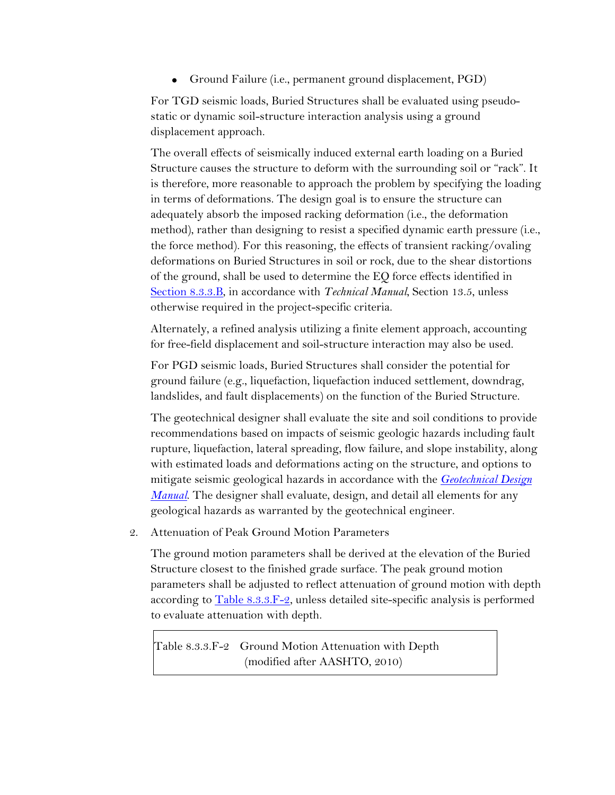• Ground Failure (i.e., permanent ground displacement, PGD)

For TGD seismic loads, Buried Structures shall be evaluated using pseudostatic or dynamic soil-structure interaction analysis using a ground displacement approach.

The overall effects of seismically induced external earth loading on a Buried Structure causes the structure to deform with the surrounding soil or "rack". It is therefore, more reasonable to approach the problem by specifying the loading in terms of deformations. The design goal is to ensure the structure can adequately absorb the imposed racking deformation (i.e., the deformation method), rather than designing to resist a specified dynamic earth pressure (i.e., the force method). For this reasoning, the effects of transient racking/ovaling deformations on Buried Structures in soil or rock, due to the shear distortions of the ground, shall be used to determine the EQ force effects identified in Section 8.3.3.B, in accordance with *Technical Manual*, Section 13.5, unless otherwise required in the project-specific criteria.

Alternately, a refined analysis utilizing a finite element approach, accounting for free-field displacement and soil-structure interaction may also be used.

For PGD seismic loads, Buried Structures shall consider the potential for ground failure (e.g., liquefaction, liquefaction induced settlement, downdrag, landslides, and fault displacements) on the function of the Buried Structure.

The geotechnical designer shall evaluate the site and soil conditions to provide recommendations based on impacts of seismic geologic hazards including fault rupture, liquefaction, lateral spreading, flow failure, and slope instability, along with estimated loads and deformations acting on the structure, and options to mitigate seismic geological hazards in accordance with the *[Geotechnical Design](http://www.wsdot.wa.gov/Publications/Manuals/M46-03.htm)  [Manual](http://www.wsdot.wa.gov/Publications/Manuals/M46-03.htm)*. The designer shall evaluate, design, and detail all elements for any geological hazards as warranted by the geotechnical engineer.

2. Attenuation of Peak Ground Motion Parameters

The ground motion parameters shall be derived at the elevation of the Buried Structure closest to the finished grade surface. The peak ground motion parameters shall be adjusted to reflect attenuation of ground motion with depth according to  $\overline{\text{Table 8.3.3.F-2}}$ , unless detailed site-specific analysis is performed to evaluate attenuation with depth.

Table 8.3.3.F-2 Ground Motion Attenuation with Depth (modified after AASHTO, 2010)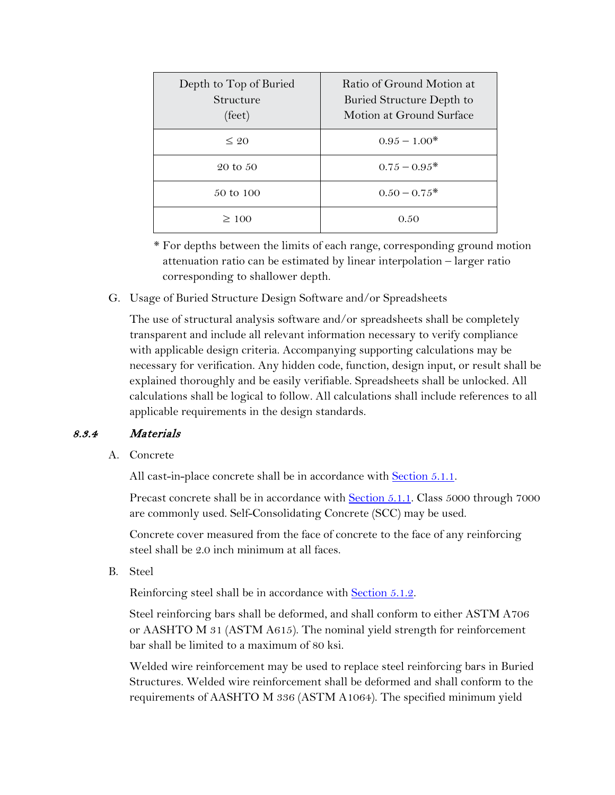| Depth to Top of Buried<br>Structure<br>$(\text{feet})$ | Ratio of Ground Motion at<br>Buried Structure Depth to<br>Motion at Ground Surface |
|--------------------------------------------------------|------------------------------------------------------------------------------------|
| $\leq 20$                                              | $0.95 - 1.00*$                                                                     |
| 20 to 50                                               | $0.75 - 0.95^*$                                                                    |
| 50 to 100                                              | $0.50 - 0.75*$                                                                     |
| $\geq 100$                                             | 0.50                                                                               |

\* For depths between the limits of each range, corresponding ground motion attenuation ratio can be estimated by linear interpolation – larger ratio corresponding to shallower depth.

G. Usage of Buried Structure Design Software and/or Spreadsheets

The use of structural analysis software and/or spreadsheets shall be completely transparent and include all relevant information necessary to verify compliance with applicable design criteria. Accompanying supporting calculations may be necessary for verification. Any hidden code, function, design input, or result shall be explained thoroughly and be easily verifiable. Spreadsheets shall be unlocked. All calculations shall be logical to follow. All calculations shall include references to all applicable requirements in the design standards.

## 8.3.4 Materials

A. Concrete

All cast-in-place concrete shall be in accordance with **Section 5.1.1**.

Precast concrete shall be in accordance with Section 5.1.1. Class 5000 through 7000 are commonly used. Self-Consolidating Concrete (SCC) may be used.

Concrete cover measured from the face of concrete to the face of any reinforcing steel shall be 2.0 inch minimum at all faces.

B. Steel

Reinforcing steel shall be in accordance with Section 5.1.2.

Steel reinforcing bars shall be deformed, and shall conform to either ASTM A706 or AASHTO M 31 (ASTM A615). The nominal yield strength for reinforcement bar shall be limited to a maximum of 80 ksi.

Welded wire reinforcement may be used to replace steel reinforcing bars in Buried Structures. Welded wire reinforcement shall be deformed and shall conform to the requirements of AASHTO M 336 (ASTM A1064). The specified minimum yield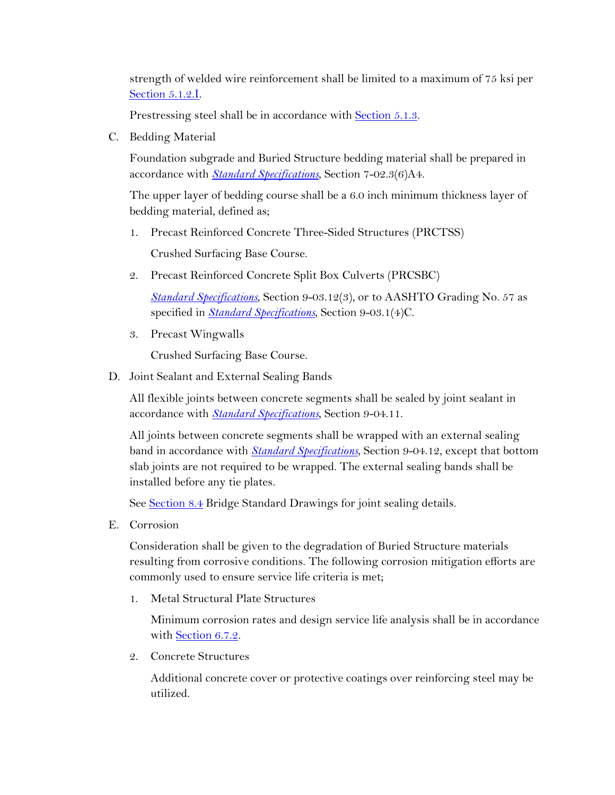strength of welded wire reinforcement shall be limited to a maximum of 75 ksi per Section 5.1.2.I.

Prestressing steel shall be in accordance with Section 5.1.3.

C. Bedding Material

Foundation subgrade and Buried Structure bedding material shall be prepared in accordance with *[Standard Specifications](https://www.wsdot.wa.gov/Publications/Manuals/M41-10.htm)*, Section 7-02.3(6)A4.

The upper layer of bedding course shall be a 6.0 inch minimum thickness layer of bedding material, defined as;

1. Precast Reinforced Concrete Three-Sided Structures (PRCTSS)

Crushed Surfacing Base Course.

2. Precast Reinforced Concrete Split Box Culverts (PRCSBC)

*[Standard Specifications](https://www.wsdot.wa.gov/Publications/Manuals/M41-10.htm)*, Section 9-03.12(3), or to AASHTO Grading No. 57 as specified in *[Standard Specifications](https://www.wsdot.wa.gov/Publications/Manuals/M41-10.htm)*, Section 9-03.1(4)C.

3. Precast Wingwalls

Crushed Surfacing Base Course.

D. Joint Sealant and External Sealing Bands

All flexible joints between concrete segments shall be sealed by joint sealant in accordance with *[Standard Specifications](https://www.wsdot.wa.gov/Publications/Manuals/M41-10.htm)*, Section 9-04.11.

All joints between concrete segments shall be wrapped with an external sealing band in accordance with *[Standard Specifications](https://www.wsdot.wa.gov/Publications/Manuals/M41-10.htm)*, Section 9-04.12, except that bottom slab joints are not required to be wrapped. The external sealing bands shall be installed before any tie plates.

See Section 8.4 Bridge Standard Drawings for joint sealing details.

E. Corrosion

Consideration shall be given to the degradation of Buried Structure materials resulting from corrosive conditions. The following corrosion mitigation efforts are commonly used to ensure service life criteria is met;

1. Metal Structural Plate Structures

Minimum corrosion rates and design service life analysis shall be in accordance with Section 6.7.2.

2. Concrete Structures

Additional concrete cover or protective coatings over reinforcing steel may be utilized.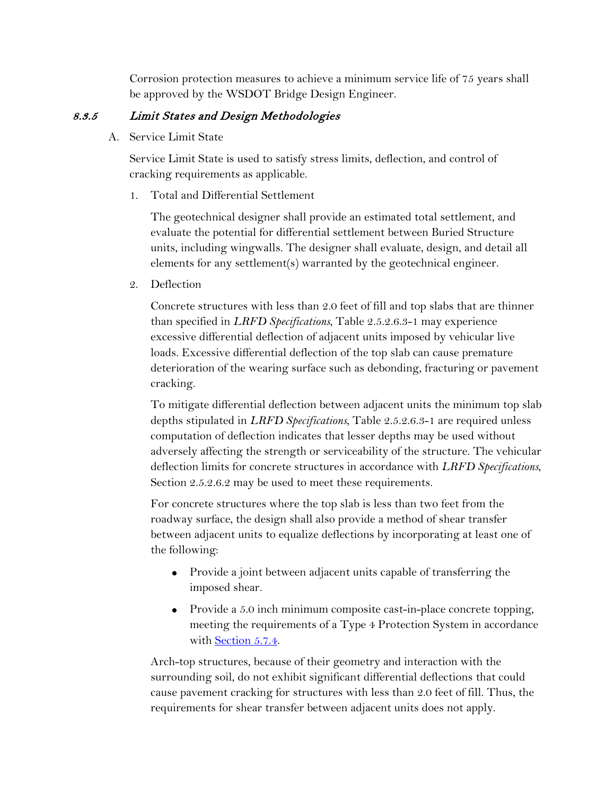Corrosion protection measures to achieve a minimum service life of 75 years shall be approved by the WSDOT Bridge Design Engineer.

## 8.3.5 Limit States and Design Methodologies

A. Service Limit State

Service Limit State is used to satisfy stress limits, deflection, and control of cracking requirements as applicable.

1. Total and Differential Settlement

The geotechnical designer shall provide an estimated total settlement, and evaluate the potential for differential settlement between Buried Structure units, including wingwalls. The designer shall evaluate, design, and detail all elements for any settlement(s) warranted by the geotechnical engineer.

2. Deflection

Concrete structures with less than 2.0 feet of fill and top slabs that are thinner than specified in *LRFD Specifications*, Table 2.5.2.6.3-1 may experience excessive differential deflection of adjacent units imposed by vehicular live loads. Excessive differential deflection of the top slab can cause premature deterioration of the wearing surface such as debonding, fracturing or pavement cracking.

To mitigate differential deflection between adjacent units the minimum top slab depths stipulated in *LRFD Specifications*, Table 2.5.2.6.3-1 are required unless computation of deflection indicates that lesser depths may be used without adversely affecting the strength or serviceability of the structure. The vehicular deflection limits for concrete structures in accordance with *LRFD Specifications*, Section 2.5.2.6.2 may be used to meet these requirements.

For concrete structures where the top slab is less than two feet from the roadway surface, the design shall also provide a method of shear transfer between adjacent units to equalize deflections by incorporating at least one of the following:

- Provide a joint between adjacent units capable of transferring the imposed shear.
- Provide a 5.0 inch minimum composite cast-in-place concrete topping, meeting the requirements of a Type 4 Protection System in accordance with Section 5.7.4.

Arch-top structures, because of their geometry and interaction with the surrounding soil, do not exhibit significant differential deflections that could cause pavement cracking for structures with less than 2.0 feet of fill. Thus, the requirements for shear transfer between adjacent units does not apply.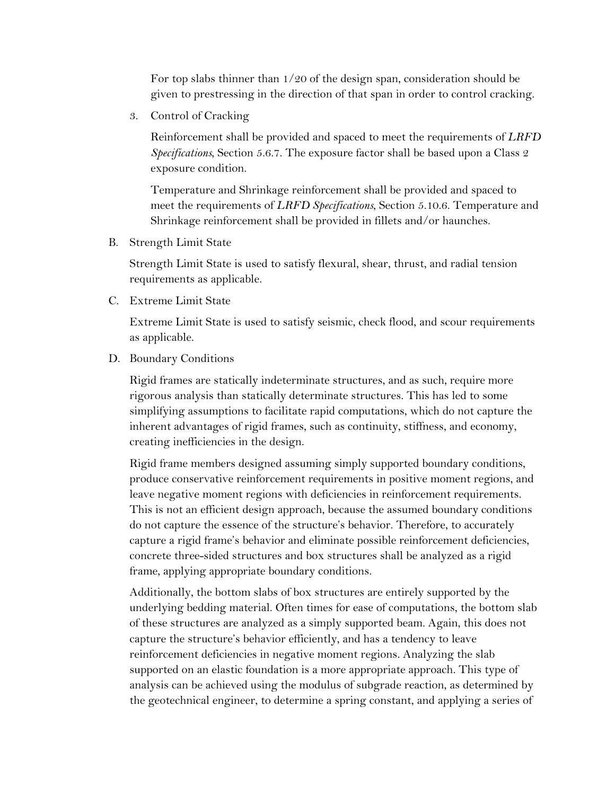For top slabs thinner than 1/20 of the design span, consideration should be given to prestressing in the direction of that span in order to control cracking.

3. Control of Cracking

Reinforcement shall be provided and spaced to meet the requirements of *LRFD Specifications*, Section 5.6.7. The exposure factor shall be based upon a Class 2 exposure condition.

Temperature and Shrinkage reinforcement shall be provided and spaced to meet the requirements of *LRFD Specifications*, Section 5.10.6. Temperature and Shrinkage reinforcement shall be provided in fillets and/or haunches.

B. Strength Limit State

Strength Limit State is used to satisfy flexural, shear, thrust, and radial tension requirements as applicable.

C. Extreme Limit State

Extreme Limit State is used to satisfy seismic, check flood, and scour requirements as applicable.

D. Boundary Conditions

Rigid frames are statically indeterminate structures, and as such, require more rigorous analysis than statically determinate structures. This has led to some simplifying assumptions to facilitate rapid computations, which do not capture the inherent advantages of rigid frames, such as continuity, stiffness, and economy, creating inefficiencies in the design.

Rigid frame members designed assuming simply supported boundary conditions, produce conservative reinforcement requirements in positive moment regions, and leave negative moment regions with deficiencies in reinforcement requirements. This is not an efficient design approach, because the assumed boundary conditions do not capture the essence of the structure's behavior. Therefore, to accurately capture a rigid frame's behavior and eliminate possible reinforcement deficiencies, concrete three-sided structures and box structures shall be analyzed as a rigid frame, applying appropriate boundary conditions.

Additionally, the bottom slabs of box structures are entirely supported by the underlying bedding material. Often times for ease of computations, the bottom slab of these structures are analyzed as a simply supported beam. Again, this does not capture the structure's behavior efficiently, and has a tendency to leave reinforcement deficiencies in negative moment regions. Analyzing the slab supported on an elastic foundation is a more appropriate approach. This type of analysis can be achieved using the modulus of subgrade reaction, as determined by the geotechnical engineer, to determine a spring constant, and applying a series of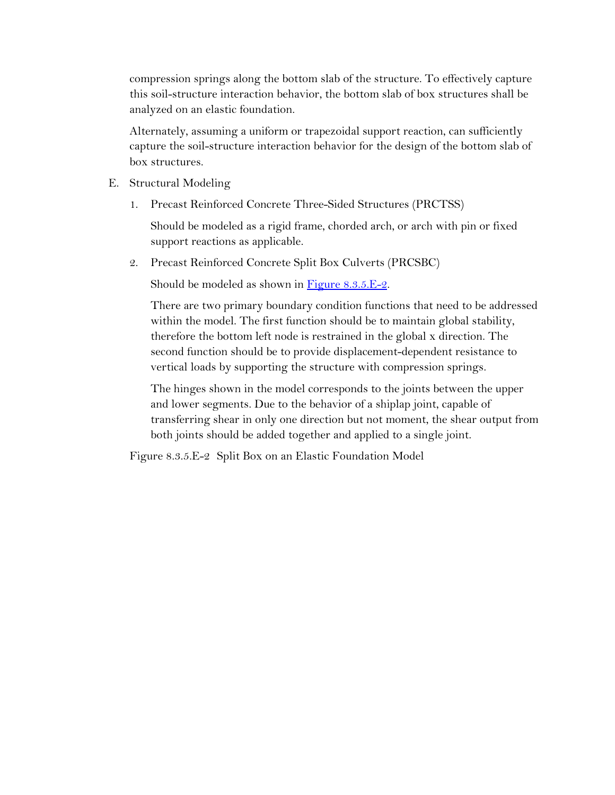compression springs along the bottom slab of the structure. To effectively capture this soil-structure interaction behavior, the bottom slab of box structures shall be analyzed on an elastic foundation.

Alternately, assuming a uniform or trapezoidal support reaction, can sufficiently capture the soil-structure interaction behavior for the design of the bottom slab of box structures.

- E. Structural Modeling
	- 1. Precast Reinforced Concrete Three-Sided Structures (PRCTSS)

Should be modeled as a rigid frame, chorded arch, or arch with pin or fixed support reactions as applicable.

2. Precast Reinforced Concrete Split Box Culverts (PRCSBC)

Should be modeled as shown in Figure 8.3.5.E-2.

There are two primary boundary condition functions that need to be addressed within the model. The first function should be to maintain global stability, therefore the bottom left node is restrained in the global x direction. The second function should be to provide displacement-dependent resistance to vertical loads by supporting the structure with compression springs.

The hinges shown in the model corresponds to the joints between the upper and lower segments. Due to the behavior of a shiplap joint, capable of transferring shear in only one direction but not moment, the shear output from both joints should be added together and applied to a single joint.

Figure 8.3.5.E-2 Split Box on an Elastic Foundation Model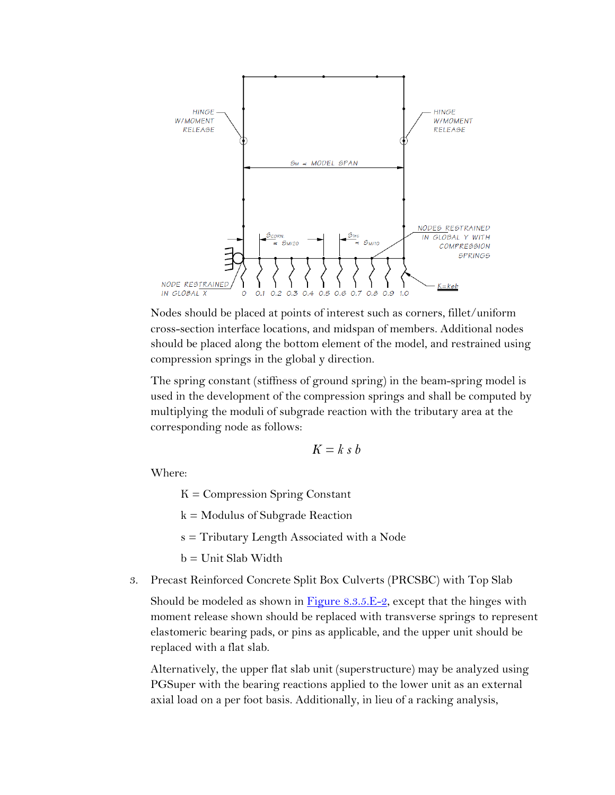

Nodes should be placed at points of interest such as corners, fillet/uniform cross-section interface locations, and midspan of members. Additional nodes should be placed along the bottom element of the model, and restrained using compression springs in the global y direction.

The spring constant (stiffness of ground spring) in the beam-spring model is used in the development of the compression springs and shall be computed by multiplying the moduli of subgrade reaction with the tributary area at the corresponding node as follows:

$$
K = k \, s \, b
$$

Where:

 $K =$  Compression Spring Constant

 $k =$  Modulus of Subgrade Reaction

s = Tributary Length Associated with a Node

b = Unit Slab Width

3. Precast Reinforced Concrete Split Box Culverts (PRCSBC) with Top Slab

Should be modeled as shown in  $Figure 8.3.5.E-2$ , except that the hinges with moment release shown should be replaced with transverse springs to represent elastomeric bearing pads, or pins as applicable, and the upper unit should be replaced with a flat slab.

Alternatively, the upper flat slab unit (superstructure) may be analyzed using PGSuper with the bearing reactions applied to the lower unit as an external axial load on a per foot basis. Additionally, in lieu of a racking analysis,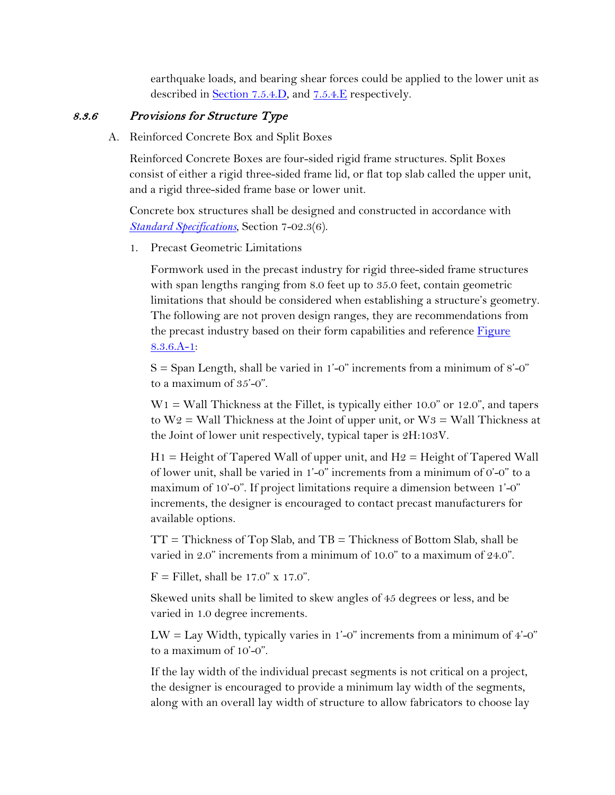earthquake loads, and bearing shear forces could be applied to the lower unit as described in Section 7.5.4.D, and 7.5.4.E respectively.

### 8.3.6 Provisions for Structure Type

A. Reinforced Concrete Box and Split Boxes

Reinforced Concrete Boxes are four-sided rigid frame structures. Split Boxes consist of either a rigid three-sided frame lid, or flat top slab called the upper unit, and a rigid three-sided frame base or lower unit.

Concrete box structures shall be designed and constructed in accordance with *[Standard Specifications](https://www.wsdot.wa.gov/Publications/Manuals/M41-10.htm)*, Section 7-02.3(6).

1. Precast Geometric Limitations

Formwork used in the precast industry for rigid three-sided frame structures with span lengths ranging from 8.0 feet up to 35.0 feet, contain geometric limitations that should be considered when establishing a structure's geometry. The following are not proven design ranges, they are recommendations from the precast industry based on their form capabilities and reference Figure 8.3.6.A-1:

 $S =$  Span Length, shall be varied in 1'-0" increments from a minimum of 8'-0" to a maximum of 35'-0".

 $W1 =$  Wall Thickness at the Fillet, is typically either 10.0" or 12.0", and tapers to  $W_2$  = Wall Thickness at the Joint of upper unit, or  $W_3$  = Wall Thickness at the Joint of lower unit respectively, typical taper is 2H:103V.

 $H1 =$  Height of Tapered Wall of upper unit, and  $H2 =$  Height of Tapered Wall of lower unit, shall be varied in 1'-0" increments from a minimum of 0'-0" to a maximum of 10'-0". If project limitations require a dimension between 1'-0" increments, the designer is encouraged to contact precast manufacturers for available options.

 $TT = Thickness$  of Top Slab, and  $TB = Thickness$  of Bottom Slab, shall be varied in 2.0" increments from a minimum of 10.0" to a maximum of 24.0".

 $F =$  Fillet, shall be 17.0" x 17.0".

Skewed units shall be limited to skew angles of 45 degrees or less, and be varied in 1.0 degree increments.

 $LW = Lay Width, typically varies in 1'-0" increments from a minimum of 4'-0"$ to a maximum of 10'-0".

If the lay width of the individual precast segments is not critical on a project, the designer is encouraged to provide a minimum lay width of the segments, along with an overall lay width of structure to allow fabricators to choose lay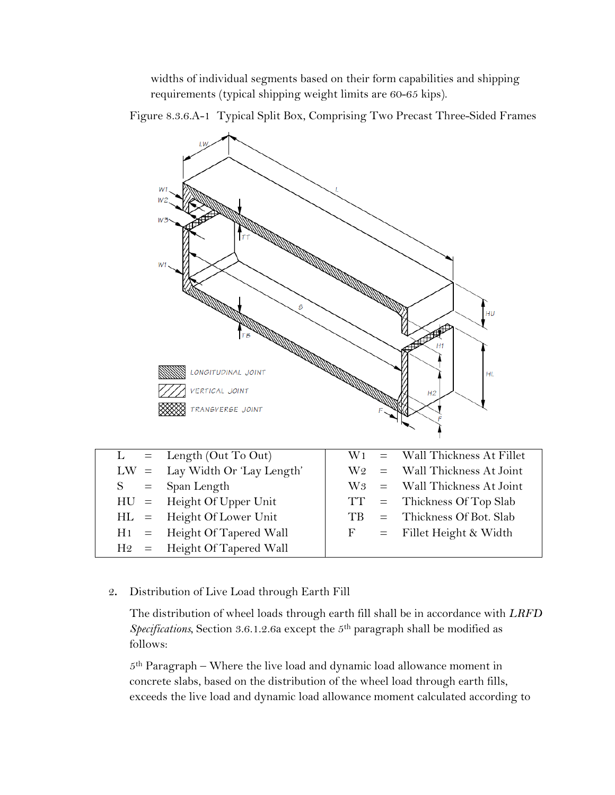widths of individual segments based on their form capabilities and shipping requirements (typical shipping weight limits are 60-65 kips).

Figure 8.3.6.A-1 Typical Split Box, Comprising Two Precast Three-Sided Frames



2**.** Distribution of Live Load through Earth Fill

The distribution of wheel loads through earth fill shall be in accordance with *LRFD Specifications*, Section 3.6.1.2.6a except the 5th paragraph shall be modified as follows:

 $5<sup>th</sup>$  Paragraph – Where the live load and dynamic load allowance moment in concrete slabs, based on the distribution of the wheel load through earth fills, exceeds the live load and dynamic load allowance moment calculated according to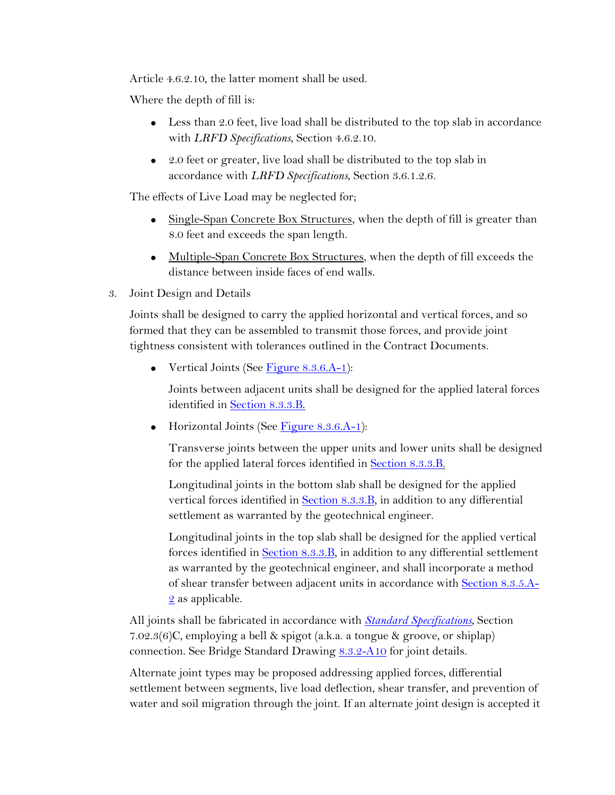Article 4.6.2.10, the latter moment shall be used.

Where the depth of fill is:

- Less than 2.0 feet, live load shall be distributed to the top slab in accordance with *LRFD Specifications*, Section 4.6.2.10.
- 2.0 feet or greater, live load shall be distributed to the top slab in accordance with *LRFD Specifications*, Section 3.6.1.2.6.

The effects of Live Load may be neglected for;

- Single-Span Concrete Box Structures, when the depth of fill is greater than 8.0 feet and exceeds the span length.
- Multiple-Span Concrete Box Structures, when the depth of fill exceeds the distance between inside faces of end walls.
- 3. Joint Design and Details

Joints shall be designed to carry the applied horizontal and vertical forces, and so formed that they can be assembled to transmit those forces, and provide joint tightness consistent with tolerances outlined in the Contract Documents.

• Vertical Joints (See Figure 8.3.6.A-1):

Joints between adjacent units shall be designed for the applied lateral forces identified in Section 8.3.3.B.

• Horizontal Joints (See Figure  $8.3.6.A-1$ ):

Transverse joints between the upper units and lower units shall be designed for the applied lateral forces identified in Section 8.3.3.B.

Longitudinal joints in the bottom slab shall be designed for the applied vertical forces identified in Section 8.3.3.B, in addition to any differential settlement as warranted by the geotechnical engineer.

Longitudinal joints in the top slab shall be designed for the applied vertical forces identified in Section 8.3.3.B, in addition to any differential settlement as warranted by the geotechnical engineer, and shall incorporate a method of shear transfer between adjacent units in accordance with Section 8.3.5.A-2 as applicable.

All joints shall be fabricated in accordance with *[Standard Specifications](https://www.wsdot.wa.gov/Publications/Manuals/M41-10.htm)*, Section 7.02.3(6)C, employing a bell & spigot (a.k.a. a tongue & groove, or shiplap) connection. See Bridge Standard Drawing [8.3.2-A10](https://www.wsdot.wa.gov/Bridge/Structures/StandardDrawings.htm#BuriedStructures) for joint details.

Alternate joint types may be proposed addressing applied forces, differential settlement between segments, live load deflection, shear transfer, and prevention of water and soil migration through the joint. If an alternate joint design is accepted it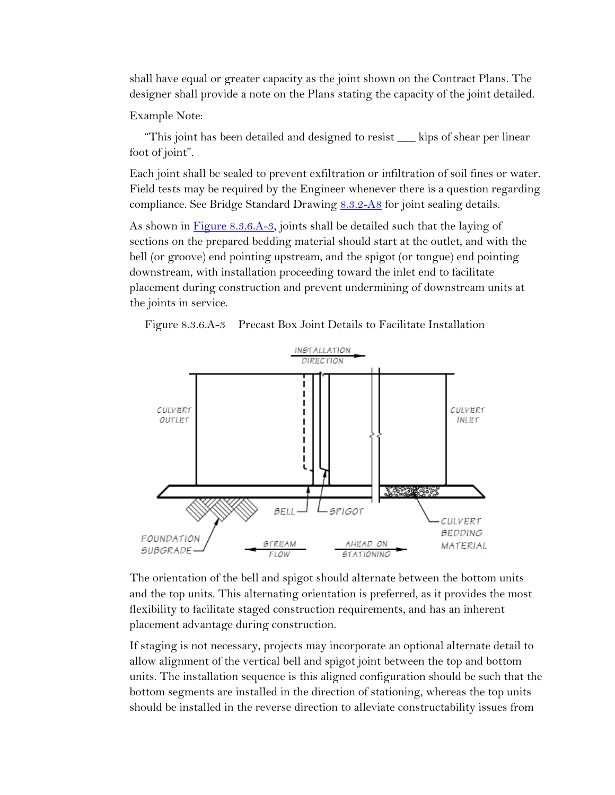shall have equal or greater capacity as the joint shown on the Contract Plans. The designer shall provide a note on the Plans stating the capacity of the joint detailed.

Example Note:

"This joint has been detailed and designed to resist \_\_\_ kips of shear per linear foot of joint".

Each joint shall be sealed to prevent exfiltration or infiltration of soil fines or water. Field tests may be required by the Engineer whenever there is a question regarding compliance. See Bridge Standard Drawing [8.3.2-A8](https://www.wsdot.wa.gov/Bridge/Structures/StandardDrawings.htm#BuriedStructures) for joint sealing details.

As shown in Figure 8.3.6.A-3, joints shall be detailed such that the laying of sections on the prepared bedding material should start at the outlet, and with the bell (or groove) end pointing upstream, and the spigot (or tongue) end pointing downstream, with installation proceeding toward the inlet end to facilitate placement during construction and prevent undermining of downstream units at the joints in service.

Figure 8.3.6.A-3 Precast Box Joint Details to Facilitate Installation



The orientation of the bell and spigot should alternate between the bottom units and the top units. This alternating orientation is preferred, as it provides the most flexibility to facilitate staged construction requirements, and has an inherent placement advantage during construction.

If staging is not necessary, projects may incorporate an optional alternate detail to allow alignment of the vertical bell and spigot joint between the top and bottom units. The installation sequence is this aligned configuration should be such that the bottom segments are installed in the direction of stationing, whereas the top units should be installed in the reverse direction to alleviate constructability issues from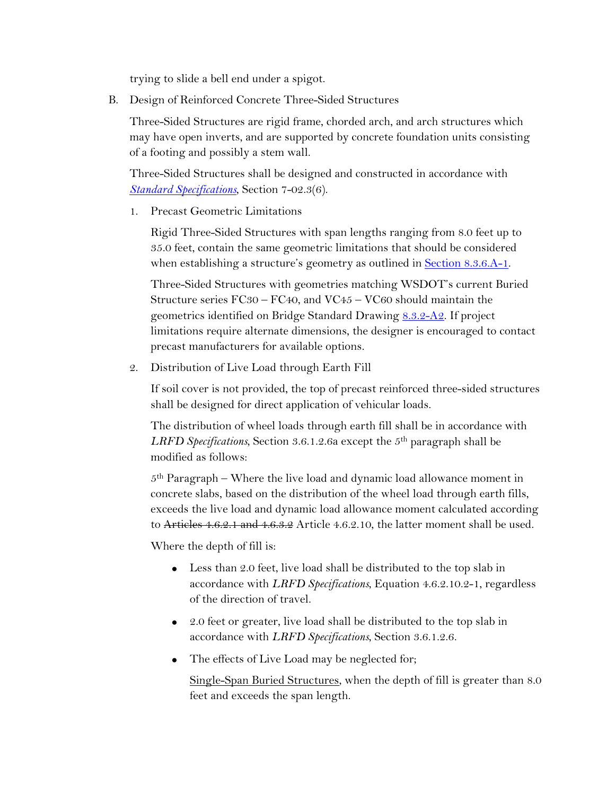trying to slide a bell end under a spigot.

B. Design of Reinforced Concrete Three-Sided Structures

Three-Sided Structures are rigid frame, chorded arch, and arch structures which may have open inverts, and are supported by concrete foundation units consisting of a footing and possibly a stem wall.

Three-Sided Structures shall be designed and constructed in accordance with *[Standard Specifications](https://www.wsdot.wa.gov/Publications/Manuals/M41-10.htm)*, Section 7-02.3(6).

1. Precast Geometric Limitations

Rigid Three-Sided Structures with span lengths ranging from 8.0 feet up to 35.0 feet, contain the same geometric limitations that should be considered when establishing a structure's geometry as outlined in **Section 8.3.6.A-1**.

Three-Sided Structures with geometries matching WSDOT's current Buried Structure series FC30 – FC40, and VC45 – VC60 should maintain the geometrics identified on Bridge Standard Drawing 8.3.2-A2. If project limitations require alternate dimensions, the designer is encouraged to contact precast manufacturers for available options.

2. Distribution of Live Load through Earth Fill

If soil cover is not provided, the top of precast reinforced three-sided structures shall be designed for direct application of vehicular loads.

The distribution of wheel loads through earth fill shall be in accordance with *LRFD Specifications*, Section 3.6.1.2.6a except the 5th paragraph shall be modified as follows:

 $5<sup>th</sup>$  Paragraph – Where the live load and dynamic load allowance moment in concrete slabs, based on the distribution of the wheel load through earth fills, exceeds the live load and dynamic load allowance moment calculated according to Articles 4.6.2.1 and 4.6.3.2 Article 4.6.2.10, the latter moment shall be used.

Where the depth of fill is:

- Less than 2.0 feet, live load shall be distributed to the top slab in accordance with *LRFD Specifications*, Equation 4.6.2.10.2-1, regardless of the direction of travel.
- 2.0 feet or greater, live load shall be distributed to the top slab in accordance with *LRFD Specifications*, Section 3.6.1.2.6.
- The effects of Live Load may be neglected for;

Single-Span Buried Structures, when the depth of fill is greater than 8.0 feet and exceeds the span length.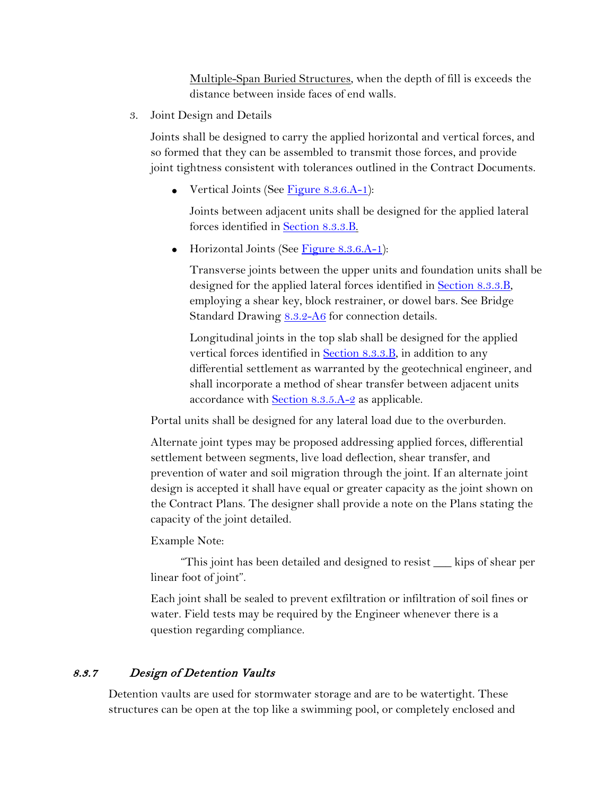Multiple-Span Buried Structures, when the depth of fill is exceeds the distance between inside faces of end walls.

3. Joint Design and Details

Joints shall be designed to carry the applied horizontal and vertical forces, and so formed that they can be assembled to transmit those forces, and provide joint tightness consistent with tolerances outlined in the Contract Documents.

• Vertical Joints (See Figure  $8.3.6.A-1$ ):

Joints between adjacent units shall be designed for the applied lateral forces identified in Section 8.3.3.B.

 $\bullet$  Horizontal Joints (See Figure 8.3.6.A-1):

Transverse joints between the upper units and foundation units shall be designed for the applied lateral forces identified in **Section 8.3.3.B**, employing a shear key, block restrainer, or dowel bars. See Bridge Standard Drawing [8.3.2-A6](https://www.wsdot.wa.gov/Bridge/Structures/StandardDrawings.htm#BuriedStructures) for connection details.

Longitudinal joints in the top slab shall be designed for the applied vertical forces identified in Section 8.3.3.B, in addition to any differential settlement as warranted by the geotechnical engineer, and shall incorporate a method of shear transfer between adjacent units accordance with **Section 8.3.5.A-2** as applicable.

Portal units shall be designed for any lateral load due to the overburden.

Alternate joint types may be proposed addressing applied forces, differential settlement between segments, live load deflection, shear transfer, and prevention of water and soil migration through the joint. If an alternate joint design is accepted it shall have equal or greater capacity as the joint shown on the Contract Plans. The designer shall provide a note on the Plans stating the capacity of the joint detailed.

Example Note:

"This joint has been detailed and designed to resist \_\_\_ kips of shear per linear foot of joint".

Each joint shall be sealed to prevent exfiltration or infiltration of soil fines or water. Field tests may be required by the Engineer whenever there is a question regarding compliance.

# 8.3.7 Design of Detention Vaults

Detention vaults are used for stormwater storage and are to be watertight. These structures can be open at the top like a swimming pool, or completely enclosed and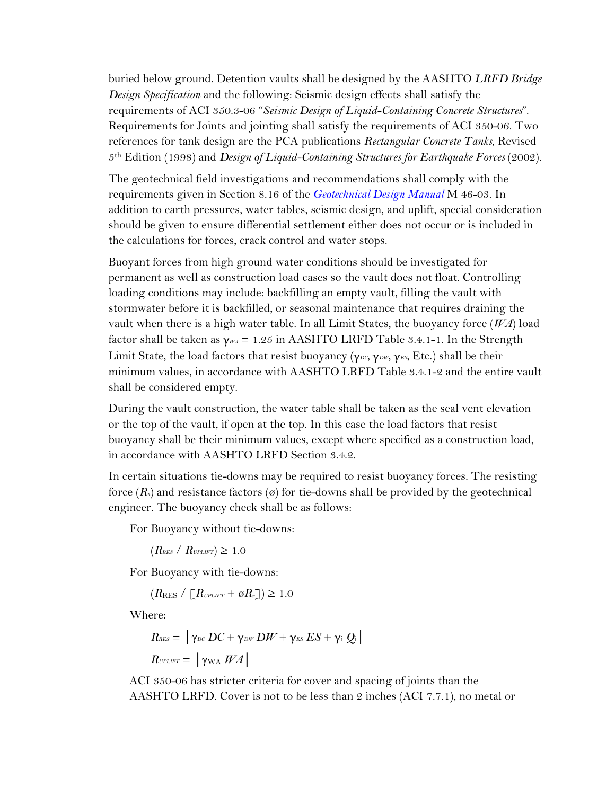buried below ground. Detention vaults shall be designed by the AASHTO *LRFD Bridge Design Specification* and the following: Seismic design effects shall satisfy the requirements of ACI 350.3-06 "*Seismic Design of Liquid-Containing Concrete Structures*". Requirements for Joints and jointing shall satisfy the requirements of ACI 350-06. Two references for tank design are the PCA publications *Rectangular Concrete Tanks*, Revised 5th Edition (1998) and *Design of Liquid-Containing Structures for Earthquake Forces* (2002).

The geotechnical field investigations and recommendations shall comply with the requirements given in Section 8.16 of the *Geotechnical Design Manual* M 46-03. In addition to earth pressures, water tables, seismic design, and uplift, special consideration should be given to ensure differential settlement either does not occur or is included in the calculations for forces, crack control and water stops.

Buoyant forces from high ground water conditions should be investigated for permanent as well as construction load cases so the vault does not float. Controlling loading conditions may include: backfilling an empty vault, filling the vault with stormwater before it is backfilled, or seasonal maintenance that requires draining the vault when there is a high water table. In all Limit States, the buoyancy force (*WA*) load factor shall be taken as  $\gamma_{WA} = 1.25$  in AASHTO LRFD Table 3.4.1-1. In the Strength Limit State, the load factors that resist buoyancy (γ*DC*, γ*DW*, γ*ES*, Etc.) shall be their minimum values, in accordance with AASHTO LRFD Table 3.4.1-2 and the entire vault shall be considered empty.

During the vault construction, the water table shall be taken as the seal vent elevation or the top of the vault, if open at the top. In this case the load factors that resist buoyancy shall be their minimum values, except where specified as a construction load, in accordance with AASHTO LRFD Section 3.4.2.

In certain situations tie-downs may be required to resist buoyancy forces. The resisting force  $(R_n)$  and resistance factors  $(\emptyset)$  for tie-downs shall be provided by the geotechnical engineer. The buoyancy check shall be as follows:

For Buoyancy without tie-downs:

 $(R_{RES} / R_{UPLIFT}) \geq 1.0$ 

For Buoyancy with tie-downs:

 $(R_{RES}/\Gamma R_{UPLIFT} + \varnothing R_n \rceil) \geq 1.0$ 

Where:

$$
R_{\text{RES}} = |\gamma_{\text{DC}} DC + \gamma_{\text{DF'}} DW + \gamma_{\text{ES}} ES + \gamma_{\text{i}} Q_{\text{i}}|
$$
  

$$
R_{\text{UPLIFT}} = |\gamma_{\text{WA}} WA|
$$

ACI 350-06 has stricter criteria for cover and spacing of joints than the AASHTO LRFD. Cover is not to be less than 2 inches (ACI 7.7.1), no metal or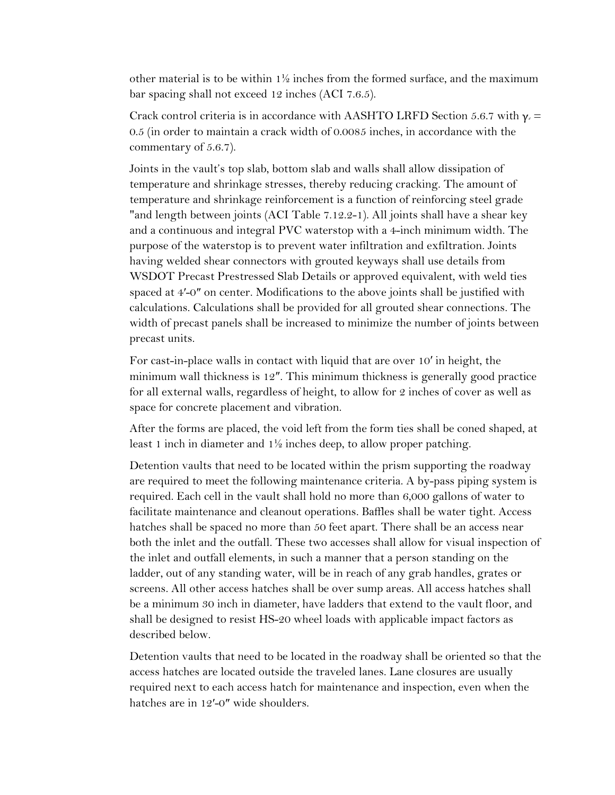other material is to be within  $1\frac{1}{2}$  inches from the formed surface, and the maximum bar spacing shall not exceed 12 inches (ACI 7.6.5).

Crack control criteria is in accordance with AASHTO LRFD Section 5.6.7 with γ*<sup>e</sup>* = 0.5 (in order to maintain a crack width of 0.0085 inches, in accordance with the commentary of 5.6.7).

Joints in the vault's top slab, bottom slab and walls shall allow dissipation of temperature and shrinkage stresses, thereby reducing cracking. The amount of temperature and shrinkage reinforcement is a function of reinforcing steel grade "and length between joints (ACI Table 7.12.2-1). All joints shall have a shear key and a continuous and integral PVC waterstop with a 4-inch minimum width. The purpose of the waterstop is to prevent water infiltration and exfiltration. Joints having welded shear connectors with grouted keyways shall use details from WSDOT Precast Prestressed Slab Details or approved equivalent, with weld ties spaced at 4′-0″ on center. Modifications to the above joints shall be justified with calculations. Calculations shall be provided for all grouted shear connections. The width of precast panels shall be increased to minimize the number of joints between precast units.

For cast-in-place walls in contact with liquid that are over 10′ in height, the minimum wall thickness is 12″. This minimum thickness is generally good practice for all external walls, regardless of height, to allow for 2 inches of cover as well as space for concrete placement and vibration.

After the forms are placed, the void left from the form ties shall be coned shaped, at least 1 inch in diameter and 1½ inches deep, to allow proper patching.

Detention vaults that need to be located within the prism supporting the roadway are required to meet the following maintenance criteria. A by-pass piping system is required. Each cell in the vault shall hold no more than 6,000 gallons of water to facilitate maintenance and cleanout operations. Baffles shall be water tight. Access hatches shall be spaced no more than 50 feet apart. There shall be an access near both the inlet and the outfall. These two accesses shall allow for visual inspection of the inlet and outfall elements, in such a manner that a person standing on the ladder, out of any standing water, will be in reach of any grab handles, grates or screens. All other access hatches shall be over sump areas. All access hatches shall be a minimum 30 inch in diameter, have ladders that extend to the vault floor, and shall be designed to resist HS-20 wheel loads with applicable impact factors as described below.

Detention vaults that need to be located in the roadway shall be oriented so that the access hatches are located outside the traveled lanes. Lane closures are usually required next to each access hatch for maintenance and inspection, even when the hatches are in 12'-0" wide shoulders.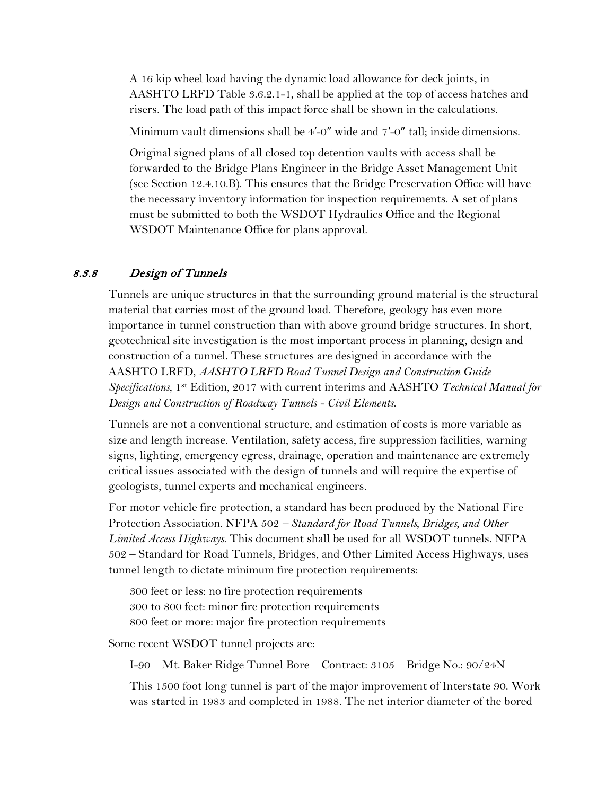A 16 kip wheel load having the dynamic load allowance for deck joints, in AASHTO LRFD Table 3.6.2.1-1, shall be applied at the top of access hatches and risers. The load path of this impact force shall be shown in the calculations.

Minimum vault dimensions shall be 4′-0″ wide and 7′-0″ tall; inside dimensions.

Original signed plans of all closed top detention vaults with access shall be forwarded to the Bridge Plans Engineer in the Bridge Asset Management Unit (see Section 12.4.10.B). This ensures that the Bridge Preservation Office will have the necessary inventory information for inspection requirements. A set of plans must be submitted to both the WSDOT Hydraulics Office and the Regional WSDOT Maintenance Office for plans approval.

#### 8.3.8 Design of Tunnels

Tunnels are unique structures in that the surrounding ground material is the structural material that carries most of the ground load. Therefore, geology has even more importance in tunnel construction than with above ground bridge structures. In short, geotechnical site investigation is the most important process in planning, design and construction of a tunnel. These structures are designed in accordance with the AASHTO LRFD, *AASHTO LRFD Road Tunnel Design and Construction Guide Specifications*, 1st Edition, 2017 with current interims and AASHTO *Technical Manual for Design and Construction of Roadway Tunnels - Civil Elements*.

Tunnels are not a conventional structure, and estimation of costs is more variable as size and length increase. Ventilation, safety access, fire suppression facilities, warning signs, lighting, emergency egress, drainage, operation and maintenance are extremely critical issues associated with the design of tunnels and will require the expertise of geologists, tunnel experts and mechanical engineers.

For motor vehicle fire protection, a standard has been produced by the National Fire Protection Association. NFPA 502 *– Standard for Road Tunnels, Bridges, and Other Limited Access Highways*. This document shall be used for all WSDOT tunnels. NFPA 502 – Standard for Road Tunnels, Bridges, and Other Limited Access Highways, uses tunnel length to dictate minimum fire protection requirements:

300 feet or less: no fire protection requirements 300 to 800 feet: minor fire protection requirements 800 feet or more: major fire protection requirements

Some recent WSDOT tunnel projects are:

I-90 Mt. Baker Ridge Tunnel Bore Contract: 3105 Bridge No.: 90/24N

This 1500 foot long tunnel is part of the major improvement of Interstate 90. Work was started in 1983 and completed in 1988. The net interior diameter of the bored